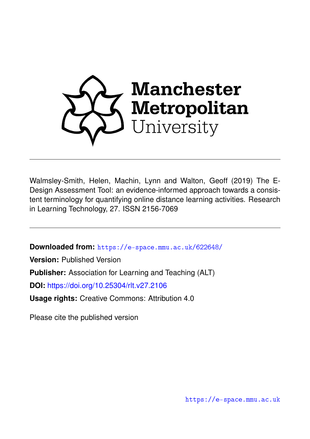

Walmsley-Smith, Helen, Machin, Lynn and Walton, Geoff (2019) The E-Design Assessment Tool: an evidence-informed approach towards a consistent terminology for quantifying online distance learning activities. Research in Learning Technology, 27. ISSN 2156-7069

**Downloaded from:** <https://e-space.mmu.ac.uk/622648/>

**Version:** Published Version

**Publisher:** Association for Learning and Teaching (ALT)

**DOI:** <https://doi.org/10.25304/rlt.v27.2106>

**Usage rights:** Creative Commons: Attribution 4.0

Please cite the published version

<https://e-space.mmu.ac.uk>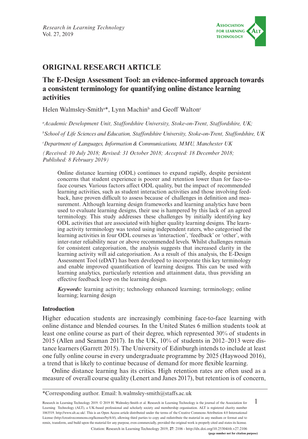

# **ORIGINAL RESEARCH ARTICLE**

# **The E-Design Assessment Tool: an evidence-informed approach towards a consistent terminology for quantifying online distance learning activities**

Helen Walmsley-Smith<sup>a\*</sup>, Lynn Machin<sup>b</sup> and Geoff Walton<sup>o</sup>

*a Academic Development Unit, Staffordshire University, Stoke-on-Trent, Staffordshire, UK;* 

*b School of Life Sciences and Education, Staffordshire University, Stoke-on-Trent, Staffordshire, UK* 

*c Department of Languages, Information & Communications, MMU, Manchester UK*

*(Received: 10 July 2018; Revised: 31 October 2018; Accepted: 18 December 2018; Published: 8 February 2019)*

Online distance learning (ODL) continues to expand rapidly, despite persistent concerns that student experience is poorer and retention lower than for face-toface courses. Various factors affect ODL quality, but the impact of recommended learning activities, such as student interaction activities and those involving feedback, have proven difficult to assess because of challenges in definition and measurement. Although learning design frameworks and learning analytics have been used to evaluate learning designs, their use is hampered by this lack of an agreed terminology. This study addresses these challenges by initially identifying key ODL activities that are associated with higher quality learning designs. The learning activity terminology was tested using independent raters, who categorised the learning activities in four ODL courses as 'interaction', 'feedback' or 'other', with inter-rater reliability near or above recommended levels. Whilst challenges remain for consistent categorisation, the analysis suggests that increased clarity in the learning activity will aid categorisation. As a result of this analysis, the E-Design Assessment Tool (eDAT) has been developed to incorporate this key terminology and enable improved quantification of learning designs. This can be used with learning analytics, particularly retention and attainment data, thus providing an effective feedback loop on the learning design.

*Keywords:* learning activity; technology enhanced learning; terminology; online learning; learning design

#### **Introduction**

Higher education students are increasingly combining face-to-face learning with online distance and blended courses. In the United States 6 million students took at least one online course as part of their degree, which represented 30% of students in 2015 (Allen and Seaman 2017). In the UK, 10% of students in 2012–2013 were distance learners (Garrett 2015). The University of Edinburgh intends to include at least one fully online course in every undergraduate programme by 2025 (Haywood 2016), a trend that is likely to continue because of demand for more flexible learning.

Online distance learning has its critics. High retention rates are often used as a measure of overall course quality (Lenert and Janes 2017), but retention is of concern,

1 Research in Learning Technology 2019. © 2019 H. Walmsley-Smith et al. Research in Learning Technology is the journal of the Association for Learning Technology (ALT), a UK-based professional and scholarly society and membership organisation. ALT is registered charity number 1063519.<http://www.alt.ac.uk/>. This is an Open Access article distributed under the terms of the Creative Commons Attribution 4.0 International License [\(http://creativecommons.org/licenses/by/4.0/\)](http://creativecommons.org/licenses/by/4.0/), allowing third parties to copy and redistribute the material in any medium or format and to remix, transform, and build upon the material for any purpose, even commercially, provided the original work is properly cited and states its license. Citation: Research in Learning Technology 2019, **27**: 2106 - <http://dx.doi.org/10.25304/rlt.v27.2106>

<sup>\*</sup>Corresponding author. Email: [h.walmsley-smith@staffs.ac.uk](mailto:h.walmsley-smith@staffs.ac.uk)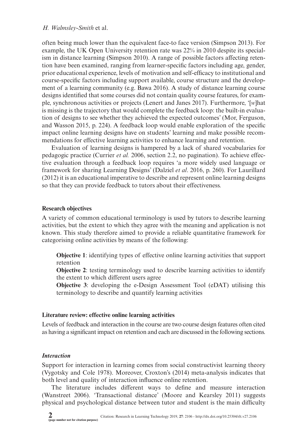often being much lower than the equivalent face-to face version (Simpson 2013). For example, the UK Open University retention rate was 22% in 2010 despite its specialism in distance learning (Simpson 2010). A range of possible factors affecting retention have been examined, ranging from learner-specific factors including age, gender, prior educational experience, levels of motivation and self-efficacy to institutional and course-specific factors including support available, course structure and the development of a learning community (e.g. Bawa 2016). A study of distance learning course designs identified that some courses did not contain quality course features, for example, synchronous activities or projects (Lenert and Janes 2017). Furthermore, '[*w*]hat is missing is the trajectory that would complete the feedback loop: the built-in evaluation of designs to see whether they achieved the expected outcomes' (Mor, Ferguson, and Wasson 2015, p. 224). A feedback loop would enable exploration of the specific impact online learning designs have on students' learning and make possible recommendations for effective learning activities to enhance learning and retention.

Evaluation of learning designs is hampered by a lack of shared vocabularies for pedagogic practice (Currier *et al.* 2006, section 2.2, no pagination). To achieve effective evaluation through a feedback loop requires 'a more widely used language or framework for sharing Learning Designs' (Dalziel *et al*. 2016, p. 260). For Laurillard (2012) it is an educational imperative to describe and represent online learning designs so that they can provide feedback to tutors about their effectiveness.

### **Research objectives**

A variety of common educational terminology is used by tutors to describe learning activities, but the extent to which they agree with the meaning and application is not known. This study therefore aimed to provide a reliable quantitative framework for categorising online activities by means of the following:

**Objective 1**: identifying types of effective online learning activities that support retention

**Objective 2:** testing terminology used to describe learning activities to identify the extent to which different users agree

**Objective 3**: developing the e-Design Assessment Tool (eDAT) utilising this terminology to describe and quantify learning activities

# **Literature review: effective online learning activities**

Levels of feedback and interaction in the course are two course design features often cited as having a significant impact on retention and each are discussed in the following sections.

# *Interaction*

Support for interaction in learning comes from social constructivist learning theory (Vygotsky and Cole 1978). Moreover, Croxton's (2014) meta-analysis indicates that both level and quality of interaction influence online retention.

The literature includes different ways to define and measure interaction (Wanstreet 2006). 'Transactional distance' (Moore and Kearsley 2011) suggests physical and psychological distance between tutor and student is the main difficulty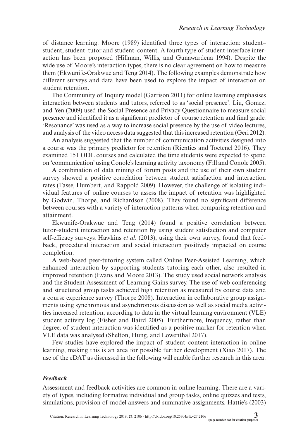of distance learning. Moore (1989) identified three types of interaction: student– student, student–tutor and student–content. A fourth type of student-interface interaction has been proposed (Hillman, Willis, and Gunawardena 1994). Despite the wide use of Moore's interaction types, there is no clear agreement on how to measure them (Ekwunife-Orakwue and Teng 2014). The following examples demonstrate how different surveys and data have been used to explore the impact of interaction on student retention.

The Community of Inquiry model (Garrison 2011) for online learning emphasises interaction between students and tutors, referred to as 'social presence'. Liu, Gomez, and Yen (2009) used the Social Presence and Privacy Questionnaire to measure social presence and identified it as a significant predictor of course retention and final grade. 'Resonance' was used as a way to increase social presence by the use of video lectures, and analysis of the video access data suggested that this increased retention (Geri 2012).

An analysis suggested that the number of communication activities designed into a course was the primary predictor for retention (Rienties and Toetenel 2016). They examined 151 ODL courses and calculated the time students were expected to spend on 'communication' using Conole's learning activity taxonomy (Fill and Conole 2005).

A combination of data mining of forum posts and the use of their own student survey showed a positive correlation between student satisfaction and interaction rates (Fasse, Humbert, and Rappold 2009). However, the challenge of isolating individual features of online courses to assess the impact of retention was highlighted by Godwin, Thorpe, and Richardson (2008). They found no significant difference between courses with a variety of interaction patterns when comparing retention and attainment.

Ekwunife-Orakwue and Teng (2014) found a positive correlation between tutor–student interaction and retention by using student satisfaction and computer self-efficacy surveys. Hawkins *et al*. (2013), using their own survey, found that feedback, procedural interaction and social interaction positively impacted on course completion.

A web-based peer-tutoring system called Online Peer-Assisted Learning, which enhanced interaction by supporting students tutoring each other, also resulted in improved retention (Evans and Moore 2013). The study used social network analysis and the Student Assessment of Learning Gains survey. The use of web-conferencing and structured group tasks achieved high retention as measured by course data and a course experience survey (Thorpe 2008). Interaction in collaborative group assignments using synchronous and asynchronous discussion as well as social media activities increased retention, according to data in the virtual learning environment (VLE) student activity log (Fisher and Baird 2005). Furthermore, frequency, rather than degree, of student interaction was identified as a positive marker for retention when VLE data was analysed (Shelton, Hung, and Lowenthal 2017).

Few studies have explored the impact of student–content interaction in online learning, making this is an area for possible further development (Xiao 2017). The use of the eDAT as discussed in the following will enable further research in this area.

### *Feedback*

Assessment and feedback activities are common in online learning. There are a variety of types, including formative individual and group tasks, online quizzes and tests, simulations, provision of model answers and summative assignments. Hattie's (2003)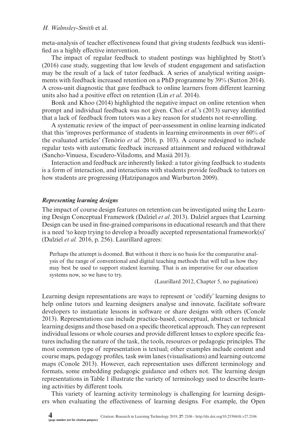meta-analysis of teacher effectiveness found that giving students feedback was identified as a highly effective intervention.

The impact of regular feedback to student postings was highlighted by Stott's (2016) case study, suggesting that low levels of student engagement and satisfaction may be the result of a lack of tutor feedback. A series of analytical writing assignments with feedback increased retention on a PhD programme by 39% (Sutton 2014). A cross-unit diagnostic that gave feedback to online learners from different learning units also had a positive effect on retention (Lin *et al*. 2014).

Bonk and Khoo (2014) highlighted the negative impact on online retention when prompt and individual feedback was not given. Choi *et al*.'s (2013) survey identified that a lack of feedback from tutors was a key reason for students not re-enrolling.

A systematic review of the impact of peer-assessment in online learning indicated that this 'improves performance of students in learning environments in over 60% of the evaluated articles' (Tenório *et al.* 2016, p. 103). A course redesigned to include regular tests with automatic feedback increased attainment and reduced withdrawal (Sancho-Vinuesa, Escudero-Viladoms, and Masià 2013).

Interaction and feedback are inherently linked: a tutor giving feedback to students is a form of interaction, and interactions with students provide feedback to tutors on how students are progressing (Hatzipanagos and Warburton 2009).

#### *Representing learning designs*

The impact of course design features on retention can be investigated using the Learning Design Conceptual Framework (Dalziel *et al*. 2013). Dalziel argues that Learning Design can be used in fine-grained comparisons in educational research and that there is a need 'to keep trying to develop a broadly accepted representational framework(s)' (Dalziel *et al.* 2016, p. 256). Laurillard agrees:

Perhaps the attempt is doomed. But without it there is no basis for the comparative analysis of the range of conventional and digital teaching methods that will tell us how they may best be used to support student learning. That is an imperative for our education systems now, so we have to try.

(Laurillard 2012, Chapter 5, no pagination)

Learning design representations are ways to represent or 'codify' learning designs to help online tutors and learning designers analyse and innovate, facilitate software developers to instantiate lessons in software or share designs with others (Conole 2013). Representations can include practice-based, conceptual, abstract or technical learning designs and those based on a specific theoretical approach. They can represent individual lessons or whole courses and provide different lenses to explore specific features including the nature of the task, the tools, resources or pedagogic principles. The most common type of representation is textual; other examples include content and course maps, pedagogy profiles, task swim lanes (visualisations) and learning outcome maps (Conole 2013). However, each representation uses different terminology and formats, some embedding pedagogic guidance and others not. The learning design representations in Table 1 illustrate the variety of terminology used to describe learning activities by different tools.

This variety of learning activity terminology is challenging for learning designers when evaluating the effectiveness of learning designs. For example, the Open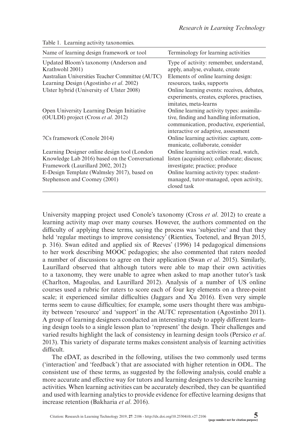| Name of learning design framework or tool                                                   | Terminology for learning activities                                                                                                                                     |
|---------------------------------------------------------------------------------------------|-------------------------------------------------------------------------------------------------------------------------------------------------------------------------|
| Updated Bloom's taxonomy (Anderson and<br>Krathwohl 2001)                                   | Type of activity: remember, understand,<br>apply, analyse, evaluate, create                                                                                             |
| Australian Universities Teacher Committee (AUTC)<br>Learning Design (Agostinho et al. 2002) | Elements of online learning design:<br>resources, tasks, supports                                                                                                       |
| Ulster hybrid (University of Ulster 2008)                                                   | Online learning events: receives, debates,<br>experiments, creates, explores, practises,<br>imitates, meta-learns                                                       |
| Open University Learning Design Initiative<br>(OULDI) project (Cross et al. 2012)           | Online learning activity types: assimila-<br>tive, finding and handling information,<br>communication, productive, experiential,<br>interactive or adaptive, assessment |
| 7Cs framework (Conole 2014)                                                                 | Online learning activities: capture, com-<br>municate, collaborate, consider                                                                                            |
| Learning Designer online design tool (London                                                | Online learning activities: read, watch,                                                                                                                                |
| Knowledge Lab 2016) based on the Conversational                                             | listen (acquisition); collaborate; discuss;                                                                                                                             |
| Framework (Laurillard 2002, 2012)                                                           | investigate; practice; produce                                                                                                                                          |
| E-Design Template (Walmsley 2017), based on                                                 | Online learning activity types: student-                                                                                                                                |
| Stephenson and Coomey (2001)                                                                | managed, tutor-managed, open activity,<br>closed task                                                                                                                   |

Table 1. Learning activity taxonomies.

University mapping project used Conole's taxonomy (Cross *et al*. 2012) to create a learning activity map over many courses. However, the authors commented on the difficulty of applying these terms, saying the process was 'subjective' and that they held 'regular meetings to improve consistency' (Rienties, Toetenel, and Bryan 2015, p. 316). Swan edited and applied six of Reeves' (1996) 14 pedagogical dimensions to her work describing MOOC pedagogies; she also commented that raters needed a number of discussions to agree on their application (Swan *et al*. 2015). Similarly, Laurillard observed that although tutors were able to map their own activities to a taxonomy, they were unable to agree when asked to map another tutor's task (Charlton, Magoulas, and Laurillard 2012). Analysis of a number of US online courses used a rubric for raters to score each of four key elements on a three-point scale; it experienced similar difficulties (Jaggars and Xu 2016). Even very simple terms seem to cause difficulties; for example, some users thought there was ambiguity between 'resource' and 'support' in the AUTC representation (Agostinho 2011). A group of learning designers conducted an interesting study to apply different learning design tools to a single lesson plan to 'represent' the design. Their challenges and varied results highlight the lack of consistency in learning design tools (Persico *et al*. 2013). This variety of disparate terms makes consistent analysis of learning activities difficult.

The eDAT, as described in the following, utilises the two commonly used terms ('interaction' and 'feedback') that are associated with higher retention in ODL. The consistent use of these terms, as suggested by the following analysis, could enable a more accurate and effective way for tutors and learning designers to describe learning activities. When learning activities can be accurately described, they can be quantified and used with learning analytics to provide evidence for effective learning designs that increase retention (Bakharia *et al*. 2016).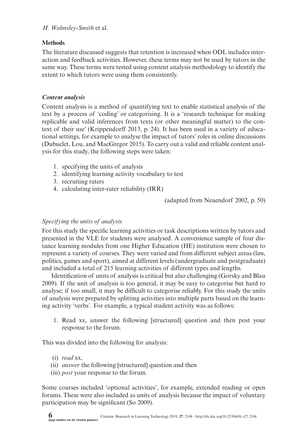# **Methods**

The literature discussed suggests that retention is increased when ODL includes interaction and feedback activities. However, these terms may not be used by tutors in the same way. These terms were tested using content analysis methodology to identify the extent to which tutors were using them consistently.

# *Content analysis*

Content analysis is a method of quantifying text to enable statistical analysis of the text by a process of 'coding' or categorising. It is a 'research technique for making replicable and valid inferences from texts (or other meaningful matter) to the context of their use' (Krippendorff 2013, p. 24). It has been used in a variety of educational settings, for example to analyse the impact of tutors' roles in online discussions (Dubuclet, Lou, and MacGregor 2015). To carry out a valid and reliable content analysis for this study, the following steps were taken:

- 1. specifying the units of analysis
- 2. identifying learning activity vocabulary to test
- 3. recruiting raters
- 4. calculating inter-rater reliability (IRR)

(adapted from Neuendorf 2002, p. 50)

# *Specifying the units of analysis*

For this study the specific learning activities or task descriptions written by tutors and presented in the VLE for students were analysed. A convenience sample of four distance learning modules from one Higher Education (HE) institution were chosen to represent a variety of courses. They were varied and from different subject areas (law, politics, games and sport), aimed at different levels (undergraduate and postgraduate) and included a total of 215 learning activities of different types and lengths.

Identification of units of analysis is critical but also challenging (Gorsky and Blau 2009). If the unit of analysis is too general, it may be easy to categorise but hard to analyse; if too small, it may be difficult to categorise reliably. For this study the units of analysis were prepared by splitting activities into multiple parts based on the learning activity 'verbs'. For example, a typical student activity was as follows:

1. Read xx, answer the following [structured] question and then post your response to the forum.

This was divided into the following for analysis:

- (i) *read* xx,
- (ii) *answer* the following [structured] question and then
- (iii) *post* your response to the forum.

Some courses included 'optional activities', for example, extended reading or open forums. These were also included as units of analysis because the impact of voluntary participation may be significant (So 2009).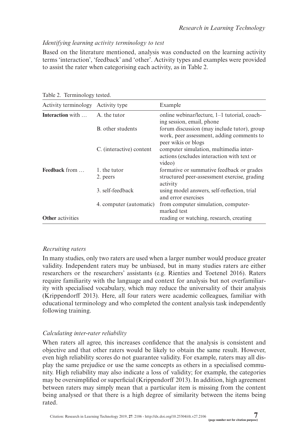# *Identifying learning activity terminology to test*

Based on the literature mentioned, analysis was conducted on the learning activity terms 'interaction', 'feedback' and 'other'. Activity types and examples were provided to assist the rater when categorising each activity, as in Table 2.

| Activity terminology Activity type |                          | Example                                                                                                         |
|------------------------------------|--------------------------|-----------------------------------------------------------------------------------------------------------------|
| <b>Interaction</b> with            | A, the tutor             | online webinar/lecture, 1-1 tutorial, coach-<br>ing session, email, phone                                       |
|                                    | B. other students        | forum discussion (may include tutor), group<br>work, peer assessment, adding comments to<br>peer wikis or blogs |
|                                    | C. (interactive) content | computer simulation, multimedia inter-<br>actions (excludes interaction with text or<br>video)                  |
| <b>Feedback</b> from               | 1. the tutor<br>2. peers | formative or summative feedback or grades<br>structured peer-assessment exercise, grading<br>activity           |
|                                    | 3. self-feedback         | using model answers, self-reflection, trial<br>and error exercises                                              |
|                                    | 4. computer (automatic)  | from computer simulation, computer-<br>marked test                                                              |
| <b>Other</b> activities            |                          | reading or watching, research, creating                                                                         |

Table 2. Terminology tested.

# *Recruiting raters*

In many studies, only two raters are used when a larger number would produce greater validity. Independent raters may be unbiased, but in many studies raters are either researchers or the researchers' assistants (e.g. Rienties and Toetenel 2016). Raters require familiarity with the language and context for analysis but not overfamiliarity with specialised vocabulary, which may reduce the universality of their analysis (Krippendorff 2013). Here, all four raters were academic colleagues, familiar with educational terminology and who completed the content analysis task independently following training.

# *Calculating inter-rater reliability*

When raters all agree, this increases confidence that the analysis is consistent and objective and that other raters would be likely to obtain the same result. However, even high reliability scores do not guarantee validity. For example, raters may all display the same prejudice or use the same concepts as others in a specialised community. High reliability may also indicate a loss of validity; for example, the categories may be oversimplified or superficial (Krippendorff 2013). In addition, high agreement between raters may simply mean that a particular item is missing from the content being analysed or that there is a high degree of similarity between the items being rated.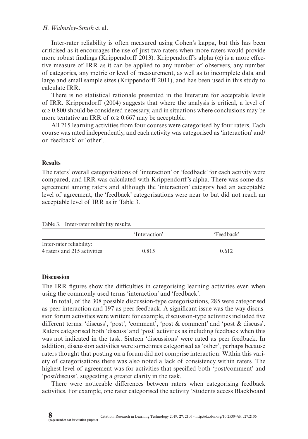Inter-rater reliability is often measured using Cohen's kappa, but this has been criticised as it encourages the use of just two raters when more raters would provide more robust findings (Krippendorff 2013). Krippendorff's alpha  $(\alpha)$  is a more effective measure of IRR as it can be applied to any number of observers, any number of categories, any metric or level of measurement, as well as to incomplete data and large and small sample sizes (Krippendorff 2011), and has been used in this study to calculate IRR.

There is no statistical rationale presented in the literature for acceptable levels of IRR. Krippendorff (2004) suggests that where the analysis is critical, a level of  $\alpha \ge 0.800$  should be considered necessary, and in situations where conclusions may be more tentative an IRR of  $\alpha \ge 0.667$  may be acceptable.

All 215 learning activities from four courses were categorised by four raters. Each course was rated independently, and each activity was categorised as 'interaction' and/ or 'feedback' or 'other'.

#### **Results**

The raters' overall categorisations of 'interaction' or 'feedback' for each activity were compared, and IRR was calculated with Krippendorff's alpha. There was some disagreement among raters and although the 'interaction' category had an acceptable level of agreement, the 'feedback' categorisations were near to but did not reach an acceptable level of IRR as in Table 3.

|  | Table 3. Inter-rater reliability results. |  |  |
|--|-------------------------------------------|--|--|
|--|-------------------------------------------|--|--|

|                             | 'Interaction' | 'Feedback' |
|-----------------------------|---------------|------------|
| Inter-rater reliability:    |               |            |
| 4 raters and 215 activities | 0.815         | 0.612      |

#### **Discussion**

The IRR figures show the difficulties in categorising learning activities even when using the commonly used terms 'interaction' and 'feedback'.

In total, of the 308 possible discussion-type categorisations, 285 were categorised as peer interaction and 197 as peer feedback. A significant issue was the way discussion forum activities were written; for example, discussion-type activities included five different terms: 'discuss', 'post', 'comment', 'post & comment' and 'post & discuss'. Raters categorised both 'discuss' and 'post' activities as including feedback when this was not indicated in the task. Sixteen 'discussions' were rated as peer feedback. In addition, discussion activities were sometimes categorised as 'other', perhaps because raters thought that posting on a forum did not comprise interaction. Within this variety of categorisations there was also noted a lack of consistency within raters. The highest level of agreement was for activities that specified both 'post/comment' and 'post/discuss', suggesting a greater clarity in the task.

There were noticeable differences between raters when categorising feedback activities. For example, one rater categorised the activity 'Students access Blackboard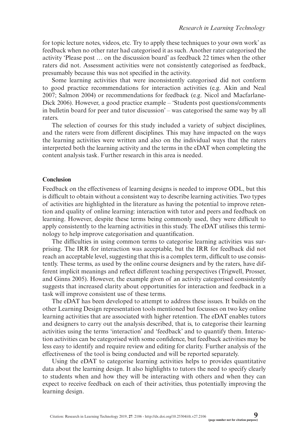for topic lecture notes, videos, etc. Try to apply these techniques to your own work' as feedback when no other rater had categorised it as such. Another rater categorised the activity 'Please post … on the discussion board' as feedback 22 times when the other raters did not. Assessment activities were not consistently categorised as feedback, presumably because this was not specified in the activity.

Some learning activities that were inconsistently categorised did not conform to good practice recommendations for interaction activities (e.g. Akin and Neal 2007; Salmon 2004) or recommendations for feedback (e.g. Nicol and Macfarlane-Dick 2006). However, a good practice example – 'Students post questions/comments in bulletin board for peer and tutor discussion' – was categorised the same way by all raters.

The selection of courses for this study included a variety of subject disciplines, and the raters were from different disciplines. This may have impacted on the ways the learning activities were written and also on the individual ways that the raters interpreted both the learning activity and the terms in the eDAT when completing the content analysis task. Further research in this area is needed.

#### **Conclusion**

Feedback on the effectiveness of learning designs is needed to improve ODL, but this is difficult to obtain without a consistent way to describe learning activities. Two types of activities are highlighted in the literature as having the potential to improve retention and quality of online learning: interaction with tutor and peers and feedback on learning. However, despite these terms being commonly used, they were difficult to apply consistently to the learning activities in this study. The eDAT utilises this terminology to help improve categorisation and quantification.

The difficulties in using common terms to categorise learning activities was surprising. The IRR for interaction was acceptable, but the IRR for feedback did not reach an acceptable level, suggesting that this is a complex term, difficult to use consistently. These terms, as used by the online course designers and by the raters, have different implicit meanings and reflect different teaching perspectives (Trigwell, Prosser, and Ginns 2005). However, the example given of an activity categorised consistently suggests that increased clarity about opportunities for interaction and feedback in a task will improve consistent use of these terms.

The eDAT has been developed to attempt to address these issues. It builds on the other Learning Design representation tools mentioned but focusses on two key online learning activities that are associated with higher retention. The eDAT enables tutors and designers to carry out the analysis described, that is, to categorise their learning activities using the terms 'interaction' and 'feedback' and to quantify them. Interaction activities can be categorised with some confidence, but feedback activities may be less easy to identify and require review and editing for clarity. Further analysis of the effectiveness of the tool is being conducted and will be reported separately.

Using the eDAT to categorise learning activities helps to provides quantitative data about the learning design. It also highlights to tutors the need to specify clearly to students when and how they will be interacting with others and when they can expect to receive feedback on each of their activities, thus potentially improving the learning design.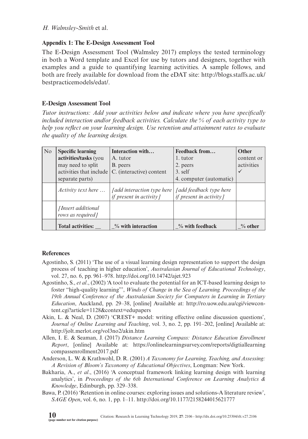### **Appendix 1: The E-Design Assessment Tool**

The E-Design Assessment Tool (Walmsley 2017) employs the tested terminology in both a Word template and Excel for use by tutors and designers, together with examples and a guide to quantifying learning activities. A sample follows, and both are freely available for download from the eDAT site: [http://blogs.staffs.ac.uk/](http://blogs.staffs.ac.uk/bestpracticemodels/edat/) [bestpracticemodels/edat/](http://blogs.staffs.ac.uk/bestpracticemodels/edat/).

# **E-Design Assessment Tool**

*Tutor instructions: Add your activities below and indicate where you have specifically included interaction and/or feedback activities. Calculate the % of each activity type to help you reflect on your learning design. Use retention and attainment rates to evaluate the quality of the learning design.*

| No | <b>Specific learning</b><br>activities/tasks (you<br>may need to split | Interaction with<br>A. tutor<br>B. peers                                   | Feedback from<br>1. tutor<br>2. peers                     | Other<br>content or<br>activities |
|----|------------------------------------------------------------------------|----------------------------------------------------------------------------|-----------------------------------------------------------|-----------------------------------|
|    | activities that include<br>separate parts)                             | C. (interactive) content                                                   | $3.$ self<br>4. computer (automatic)                      | $\checkmark$                      |
|    | <i>Activity text here</i>                                              | <i><u><b>[add interaction type here</b></u></i><br>if present in activity] | <i>Jadd feedback type here</i><br>if present in activity] |                                   |
|    | [Insert additional]<br>rows as required]                               |                                                                            |                                                           |                                   |
|    | <b>Total activities:</b>                                               | $\%$ with interaction                                                      | $\%$ with feedback                                        | $\%$ other                        |

#### **References**

- Agostinho, S. (2011) 'The use of a visual learning design representation to support the design process of teaching in higher education', *Australasian Journal of Educational Technology*, vol. 27, no. 6, pp. 961–978. <http://doi.org/10.14742/ajet.923>
- Agostinho, S., *et al*., (2002) 'A tool to evaluate the potential for an ICT-based learning design to foster "high-quality learning"', *Winds of Change in the Sea of Learning. Proceedings of the 19th Annual Conference of the Australasian Society for Computers in Learning in Tertiary Education*, Auckland, pp. 29–38, [online] Available at: [http://ro.uow.edu.au/cgi/viewcon](http://ro.uow.edu.au/cgi/viewcontent.cgi?article=1128&context=edupapers)[tent.cgi?article=1128&context=edupapers](http://ro.uow.edu.au/cgi/viewcontent.cgi?article=1128&context=edupapers)
- Akin, L. & Neal, D. (2007) 'CREST+ model: writing effective online discussion questions', *Journal of Online Learning and Teaching*, vol. 3, no. 2, pp. 191–202, [online] Available at: <http://jolt.merlot.org/vol3no2/akin.htm>
- Allen, I. E. & Seaman, J. (2017) *Distance Learning Compass: Distance Education Enrollment Report*, [online] Available at: [https://onlinelearningsurvey.com/reports/digtiallearning](https://onlinelearningsurvey.com/reports/digtiallearningcompassenrollment2017.pdf) [compassenrollment2017.pdf](https://onlinelearningsurvey.com/reports/digtiallearningcompassenrollment2017.pdf)
- Anderson, L. W. & Krathwohl, D. R. (2001) *A Taxonomy for Learning, Teaching, and Assessing: A Revision of Bloom's Taxonomy of Educational Objectives*, Longman: New York.
- Bakharia, A., *et al*., (2016) 'A conceptual framework linking learning design with learning analytics', in *Proceedings of the 6th International Conference on Learning Analytics & Knowledge*, Edinburgh, pp. 329–338.
- Bawa, P. (2016) 'Retention in online courses: exploring issues and solutions-A literature review', *SAGE Open*, vol. 6, no. 1, pp. 1–11. <http://doi.org/10.1177/2158244015621777>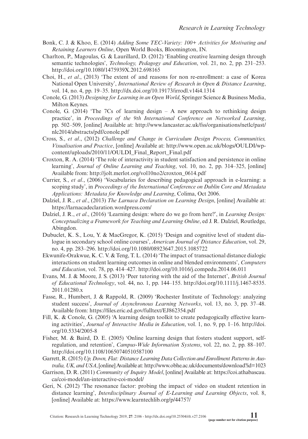- Bonk, C. J. & Khoo, E. (2014) *Adding Some TEC-Variety: 100+ Activities for Motivating and Retaining Learners Online*, Open World Books, Bloomington, IN.
- Charlton, P., Magoulas, G. & Laurillard, D. (2012) 'Enabling creative learning design through semantic technologies', *Technology, Pedagogy and Education*, vol. 21, no. 2, pp. 231–253. <http://doi.org/10.1080/1475939X.2012.698165>
- Choi, H., *et al*., (2013) 'The extent of and reasons for non re-enrollment: a case of Korea National Open University', *International Review of Research in Open & Distance Learning*, vol. 14, no. 4, pp. 19–35. <http://dx.doi.org/10.19173/irrodl.v14i4.1314>
- Conole, G. (2013) *Designing for Learning in an Open World*, Springer Science & Business Media, Milton Keynes.
- Conole, G. (2014) 'The 7Cs of learning design  $-$  A new approach to rethinking design practice', in *Proceedings of the 9th International Conference on Networked Learning*, pp. 502–509, [online] Available at: [http://www.lancaster.ac.uk/fss/organisations/netlc/past/](http://www.lancaster.ac.uk/fss/organisations/netlc/past/nlc2014/abstracts/pdf/conole.pdf) [nlc2014/abstracts/pdf/conole.pdf](http://www.lancaster.ac.uk/fss/organisations/netlc/past/nlc2014/abstracts/pdf/conole.pdf)
- Cross, S., *et al*., (2012) *Challenge and Change in Curriculum Design Process, Communities, Visualisation and Practice*, [online] Available at: [http://www.open.ac.uk/blogs/OULDI/wp](http://www.open.ac.uk/blogs/OULDI/wp-content/uploads/2010/11/OULDI_Final_Report_Final.pdf)[content/uploads/2010/11/OULDI\\_Final\\_Report\\_Final.pdf](http://www.open.ac.uk/blogs/OULDI/wp-content/uploads/2010/11/OULDI_Final_Report_Final.pdf)
- Croxton, R. A. (2014) 'The role of interactivity in student satisfaction and persistence in online learning', *Journal of Online Learning and Teaching*, vol. 10, no. 2, pp. 314–325, [online] Available from: [http://jolt.merlot.org/vol10no2/croxton\\_0614.pdf](http://jolt.merlot.org/vol10no2/croxton_0614.pdf)
- Currier, S., *et al*., (2006) 'Vocabularies for describing pedagogical approach in e-learning: a scoping study', in *Proceedings of the International Conference on Dublin Core and Metadata Applications: Metadata for Knowledge and Learning*, Colima, Oct 2006.
- Dalziel, J. R., *et al*., (2013) *The Larnaca Declaration on Learning Design*, [online] Available at: <https://larnacadeclaration.wordpress.com/>
- Dalziel, J. R., *et al*., (2016) 'Learning design: where do we go from here?', in *Learning Design: Conceptualizing a Framework for Teaching and Learning Online*, ed J. R. Dalziel, Routledge, Abingdon.
- Dubuclet, K. S., Lou, Y. & MacGregor, K. (2015) 'Design and cognitive level of student dialogue in secondary school online courses', *American Journal of Distance Education*, vol. 29, no. 4, pp. 283–296. <http://doi.org/10.1080/08923647.2015.1085722>
- Ekwunife-Orakwue, K. C. V. & Teng, T. L. (2014) 'The impact of transactional distance dialogic interactions on student learning outcomes in online and blended environments', *Computers and Education*, vol. 78, pp. 414–427. <http://doi.org/10.1016/j.compedu.2014.06.011>
- Evans, M. J. & Moore, J. S. (2013) 'Peer tutoring with the aid of the Internet', *British Journal of Educational Technology*, vol. 44, no. 1, pp. 144–155. [http://doi.org/10.1111/j.1467-8535.](http://doi.org/10.1111/j.1467-8535.2011.01280.x) [2011.01280.x](http://doi.org/10.1111/j.1467-8535.2011.01280.x)
- Fasse, R., Humbert, J. & Rappold, R. (2009) 'Rochester Institute of Technology: analyzing student success', *Journal of Asynchronous Learning Networks*, vol. 13, no. 3, pp. 37–48. Available from: <https://files.eric.ed.gov/fulltext/EJ862354.pdf>
- Fill, K. & Conole, G. (2005) 'A learning design toolkit to create pedagogically effective learning activities', *Journal of Interactive Media in Education*, vol. 1, no. 9, pp. 1–16. [http://doi.](http://doi.org/10.5334/2005-8) [org/10.5334/2005-8](http://doi.org/10.5334/2005-8)
- Fisher, M. & Baird, D. E. (2005) 'Online learning design that fosters student support, selfregulation, and retention', *Campus-Wide Information Systems*, vol. 22, no. 2, pp. 88–107. <http://doi.org/10.1108/10650740510587100>
- Garrett, R. (2015) *Up, Down, Flat: Distance Learning Data Collection and Enrollment Patterns in Australia, UK, and USA*, [online] Available at:<http://www.obhe.ac.uk/documents/download?id=1023>
- Garrison, D. R. (2011) *Community of Inquiry Model*, [online] Available at: [https://coi.athabascau.](https://coi.athabascau.ca/coi-model/an-interactive-coi-model/) [ca/coi-model/an-interactive-coi-model/](https://coi.athabascau.ca/coi-model/an-interactive-coi-model/)
- Geri, N. (2012) 'The resonance factor: probing the impact of video on student retention in distance learning', *Interdisciplinary Journal of E-Learning and Learning Objects*, vol. 8, [online] Available at:<https://www.learntechlib.org/p/44757/>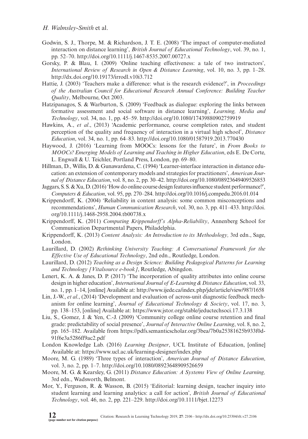- Godwin, S. J., Thorpe, M. & Richardson, J. T. E. (2008) 'The impact of computer-mediated interaction on distance learning', *British Journal of Educational Technology*, vol. 39, no. 1, pp. 52–70.<http://doi.org/10.1111/j.1467-8535.2007.00727.x>
- Gorsky, P. & Blau, I. (2009) 'Online teaching effectiveness: a tale of two instructors', *International Review of Research in Open & Distance Learning*, vol. 10, no. 3, pp. 1–28. <http://dx.doi.org/10.19173/irrodl.v10i3.712>
- Hattie, J. (2003) 'Teachers make a difference: what is the research evidence?', in *Proceedings of the Australian Council for Educational Research Annual Conference: Building Teacher Quality*, Melbourne, Oct 2003.
- Hatzipanagos, S. & Warburton, S. (2009) 'Feedback as dialogue: exploring the links between formative assessment and social software in distance learning', *Learning, Media and Technology*, vol. 34, no. 1, pp. 45–59. <http://doi.org/10.1080/17439880902759919>
- Hawkins, A., *et al*., (2013) 'Academic performance, course completion rates, and student perception of the quality and frequency of interaction in a virtual high school', *Distance Education*, vol. 34, no. 1, pp. 64–83.<http://doi.org/10.1080/01587919.2013.770430>
- Haywood, J. (2016) 'Learning from MOOCs: lessons for the future', in *From Books to MOOCs? Emerging Models of Learning and Teaching in Higher Education*, eds E. De Corte, L. Engwall & U. Teichler, Portland Press, London, pp. 69–80.
- Hillman, D., Willis, D. & Gunawardena, C. (1994) 'Learner-interface interaction in distance education: an extension of contemporary models and strategies for practitioners', *American Journal of Distance Education*, vol. 8, no. 2, pp. 30–42.<http://doi.org/10.1080/08923649409526853>
- Jaggars, S. S. & Xu, D. (2016) 'How do online course design features influence student performance?', *Computers & Education*, vol. 95, pp. 270–284.<http://doi.org/10.1016/j.compedu.2016.01.014>
- Krippendorff, K. (2004) 'Reliability in content analysis: some common misconceptions and recommendations', *Human Communication Research*, vol. 30, no. 3, pp. 411–433. [http://doi.](http://doi.org/10.1111/j.1468-2958.2004.tb00738.x) [org/10.1111/j.1468-2958.2004.tb00738.x](http://doi.org/10.1111/j.1468-2958.2004.tb00738.x)
- Krippendorff, K. (2011) *Computing Krippendorff's Alpha-Reliability*, Annenberg School for Communication Departmental Papers, Philadelphia.
- Krippendorff, K. (2013) *Content Analysis: An Introduction to its Methodology,* 3rd edn., Sage, London.
- Laurillard, D. (2002) *Rethinking University Teaching: A Conversational Framework for the Effective Use of Educational Technology*, 2nd edn., Routledge, London.
- Laurillard, D. (2012) *Teaching as a Design Science: Building Pedagogical Patterns for Learning and Technology [Vitalsource e-book]*, Routledge, Abingdon.
- Lenert, K. A. & Janes, D. P. (2017) 'The incorporation of quality attributes into online course design in higher education', *International Journal of E-Learning & Distance Education*, vol. 33, no. 1, pp. 1–14, [online] Available at: <http://www.ijede.ca/index.php/jde/article/view/987/1658>
- Lin, J.-W., *et al*., (2014) 'Development and evaluation of across-unit diagnostic feedback mechanism for online learning', *Journal of Educational Technology & Society*, vol. 17, no. 3, pp. 138–153, [online] Available at: <https://www.jstor.org/stable/jeductechsoci.17.3.138>
- Liu, S., Gomez, J. & Yen, C.-J. (2009) 'Community college online course retention and final grade: predictability of social presence', *Journal of Interactive Online Learning*, vol. 8, no. 2, pp. 165–182. Available from [https://pdfs.semanticscholar.org/3bea/7b0a25381625b933f0d-](https://pdfs.semanticscholar.org/3bea/7b0a25381625b933f0d91f6e3a5286ff9ac2.pdf)[91f6e3a5286ff9ac2.pdf](https://pdfs.semanticscholar.org/3bea/7b0a25381625b933f0d91f6e3a5286ff9ac2.pdf)
- London Knowledge Lab. (2016) *Learning Designer*, UCL Institute of Education, [online] Available at:<https://www.ucl.ac.uk/learning-designer/index.php>
- Moore, M. G. (1989) 'Three types of interaction', *American Journal of Distance Education*, vol. 3, no. 2, pp. 1–7.<http://doi.org/10.1080/08923648909526659>
- Moore, M. G. & Kearsley, G. (2011) *Distance Education: A Systems View of Online Learning,* 3rd edn., Wadsworth, Belmont.
- Mor, Y., Ferguson, R. & Wasson, B. (2015) 'Editorial: learning design, teacher inquiry into student learning and learning analytics: a call for action', *British Journal of Educational Technology*, vol. 46, no. 2, pp. 221–229. <http://doi.org/10.1111/bjet.12273>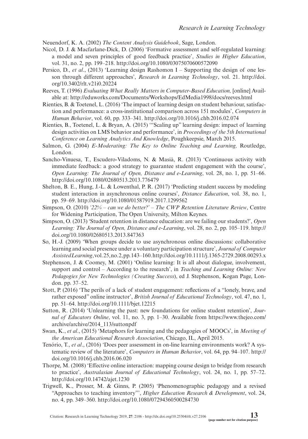Neuendorf, K. A. (2002) *The Content Analysis Guidebook*, Sage, London.

- Nicol, D. J. & Macfarlane-Dick, D. (2006) 'Formative assessment and self-regulated learning: a model and seven principles of good feedback practice', *Studies in Higher Education*, vol. 31, no. 2, pp. 199–218. <http://doi.org/10.1080/03075070600572090>
- Persico, D., *et al*., (2013) 'Learning design Rashomon I Supporting the design of one lesson through different approaches', *Research in Learning Technology*, vol. 21. [http://doi.](http://doi.org/10.3402/rlt.v21i0.20224) [org/10.3402/rlt.v21i0.20224](http://doi.org/10.3402/rlt.v21i0.20224)
- Reeves, T. (1996) *Evaluating What Really Matters in Computer-Based Education,* [online] Available at: <http://eduworks.com/Documents/Workshops/EdMedia1998/docs/reeves.html>
- Rienties, B. & Toetenel, L. (2016) 'The impact of learning design on student behaviour, satisfaction and performance: a cross-institutional comparison across 151 modules', *Computers in Human Behavior*, vol. 60, pp. 333–341.<http://doi.org/10.1016/j.chb.2016.02.074>
- Rienties, B., Toetenel, L. & Bryan, A. (2015) '"Scaling up" learning design: impact of learning design activities on LMS behavior and performance', in *Proceedings of the 5th International Conference on Learning Analytics And Knowledge*, Poughkeepsie, March 2015.
- Salmon, G. (2004) *E-Moderating: The Key to Online Teaching and Learning,* Routledge, London.
- Sancho-Vinuesa, T., Escudero-Viladoms, N. & Masià, R. (2013) 'Continuous activity with immediate feedback: a good strategy to guarantee student engagement with the course', *Open Learning: The Journal of Open, Distance and e-Learning*, vol. 28, no. 1, pp. 51–66. <http://doi.org/10.1080/02680513.2013.776479>
- Shelton, B. E., Hung, J.-L. & Lowenthal, P. R. (2017) 'Predicting student success by modeling student interaction in asynchronous online courses', *Distance Education*, vol. 38, no. 1, pp. 59–69.<http://doi.org/10.1080/01587919.2017.1299562>
- Simpson, O. (2010) *'22% can we do better?' The CWP Retention Literature Review*, Centre for Widening Participation, The Open University, Milton Keynes.
- Simpson, O. (2013) 'Student retention in distance education: are we failing our students?', *Open Learning: The Journal of Open, Distance and e-Learning*, vol. 28, no. 2, pp. 105–119. [http://](http://doi.org/10.1080/02680513.2013.847363) [doi.org/10.1080/02680513.2013.847363](http://doi.org/10.1080/02680513.2013.847363)
- So, H.-J. (2009) 'When groups decide to use asynchronous online discussions: collaborative learning and social presence under a voluntary participation structure', *Journal of Computer Assisted Learning*, vol. 25, no. 2, pp. 143–160.<http://doi.org/10.1111/j.1365-2729.2008.00293.x>
- Stephenson, J. & Coomey, M. (2001) 'Online learning: It is all about dialogue, involvement, support and control – According to the research', in *Teaching and Learning Online: New Pedagogies for New Technologies (Creating Success*), ed J. Stephenson, Kogan Page, London. pp. 37–52.
- Stott, P. (2016) 'The perils of a lack of student engagement: reflections of a "lonely, brave, and rather exposed" online instructor', *British Journal of Educational Technology*, vol. 47, no. 1, pp. 51–64.<http://doi.org/10.1111/bjet.12215>
- Sutton, R. (2014) 'Unlearning the past: new foundations for online student retention', *Journal of Educators Online*, vol. 11, no. 3, pp. 1–30. Available from [https://www.thejeo.com/](https://www.thejeo.com/archive/archive/2014_113/suttonpdf) [archive/archive/2014\\_113/suttonpdf](https://www.thejeo.com/archive/archive/2014_113/suttonpdf)
- Swan, K., *et al*., (2015) 'Metaphors for learning and the pedagogies of MOOCs', in *Meeting of the American Educational Research Association*, Chicago, IL, April 2015.
- Tenório, T., *et al*., (2016) 'Does peer assessment in on-line learning environments work? A systematic review of the literature', *Computers in Human Behavior*, vol. 64, pp. 94–107. [http://](http://doi.org/10.1016/j.chb.2016.06.020) [doi.org/10.1016/j.chb.2016.06.020](http://doi.org/10.1016/j.chb.2016.06.020)
- Thorpe, M. (2008) 'Effective online interaction: mapping course design to bridge from research to practice', *Australasian Journal of Educational Technology*, vol. 24, no. 1, pp. 57–72. <http://doi.org/10.14742/ajet.1230>
- Trigwell, K., Prosser, M. & Ginns, P. (2005) 'Phenomenographic pedagogy and a revised "Approaches to teaching inventory"', *Higher Education Research & Development*, vol. 24, no. 4, pp. 349–360. <http://doi.org/10.1080/07294360500284730>